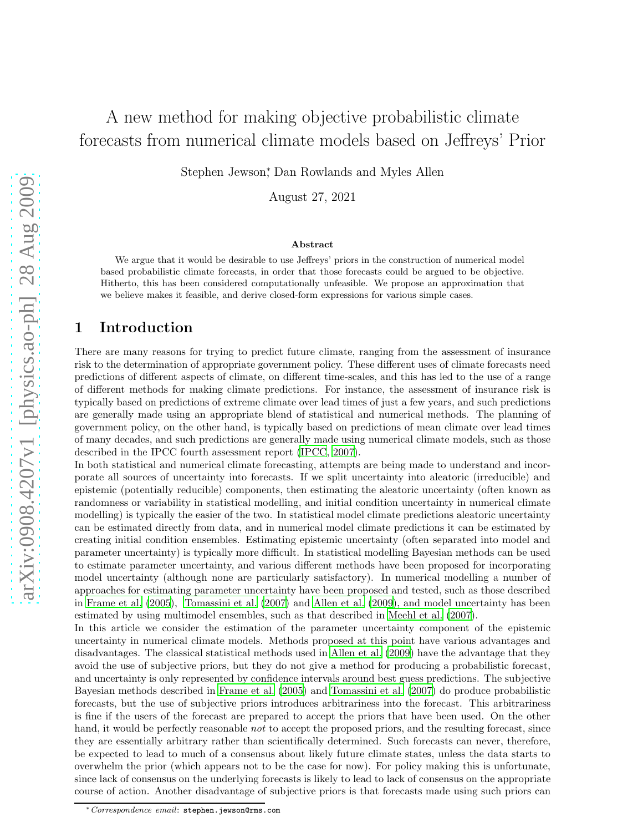# A new method for making objective probabilistic climate forecasts from numerical climate models based on Jeffreys' Prior

Stephen Jewson<sup>\*</sup>, Dan Rowlands and Myles Allen

August 27, 2021

#### Abstract

We argue that it would be desirable to use Jeffreys' priors in the construction of numerical model based probabilistic climate forecasts, in order that those forecasts could be argued to be objective. Hitherto, this has been considered computationally unfeasible. We propose an approximation that we believe makes it feasible, and derive closed-form expressions for various simple cases.

## 1 Introduction

There are many reasons for trying to predict future climate, ranging from the assessment of insurance risk to the determination of appropriate government policy. These different uses of climate forecasts need predictions of different aspects of climate, on different time-scales, and this has led to the use of a range of different methods for making climate predictions. For instance, the assessment of insurance risk is typically based on predictions of extreme climate over lead times of just a few years, and such predictions are generally made using an appropriate blend of statistical and numerical methods. The planning of government policy, on the other hand, is typically based on predictions of mean climate over lead times of many decades, and such predictions are generally made using numerical climate models, such as those described in the IPCC fourth assessment report [\(IPCC](#page-9-0), [2007](#page-9-0)).

In both statistical and numerical climate forecasting, attempts are being made to understand and incorporate all sources of uncertainty into forecasts. If we split uncertainty into aleatoric (irreducible) and epistemic (potentially reducible) components, then estimating the aleatoric uncertainty (often known as randomness or variability in statistical modelling, and initial condition uncertainty in numerical climate modelling) is typically the easier of the two. In statistical model climate predictions aleatoric uncertainty can be estimated directly from data, and in numerical model climate predictions it can be estimated by creating initial condition ensembles. Estimating epistemic uncertainty (often separated into model and parameter uncertainty) is typically more difficult. In statistical modelling Bayesian methods can be used to estimate parameter uncertainty, and various different methods have been proposed for incorporating model uncertainty (although none are particularly satisfactory). In numerical modelling a number of approaches for estimating parameter uncertainty have been proposed and tested, such as those described in [Frame et al. \(2005\)](#page-9-1), [Tomassini et al. \(2007](#page-10-0)) and [Allen et al. \(2009\)](#page-9-2), and model uncertainty has been estimated by using multimodel ensembles, such as that described in [Meehl et al. \(2007\)](#page-10-1).

In this article we consider the estimation of the parameter uncertainty component of the epistemic uncertainty in numerical climate models. Methods proposed at this point have various advantages and disadvantages. The classical statistical methods used in [Allen et al.](#page-9-2) [\(2009\)](#page-9-2) have the advantage that they avoid the use of subjective priors, but they do not give a method for producing a probabilistic forecast, and uncertainty is only represented by confidence intervals around best guess predictions. The subjective Bayesian methods described in [Frame et al. \(2005\)](#page-9-1) and [Tomassini et](#page-10-0) al. [\(2007\)](#page-10-0) do produce probabilistic forecasts, but the use of subjective priors introduces arbitrariness into the forecast. This arbitrariness is fine if the users of the forecast are prepared to accept the priors that have been used. On the other hand, it would be perfectly reasonable *not* to accept the proposed priors, and the resulting forecast, since they are essentially arbitrary rather than scientifically determined. Such forecasts can never, therefore, be expected to lead to much of a consensus about likely future climate states, unless the data starts to overwhelm the prior (which appears not to be the case for now). For policy making this is unfortunate, since lack of consensus on the underlying forecasts is likely to lead to lack of consensus on the appropriate course of action. Another disadvantage of subjective priors is that forecasts made using such priors can

<sup>∗</sup>Correspondence email: stephen.jewson@rms.com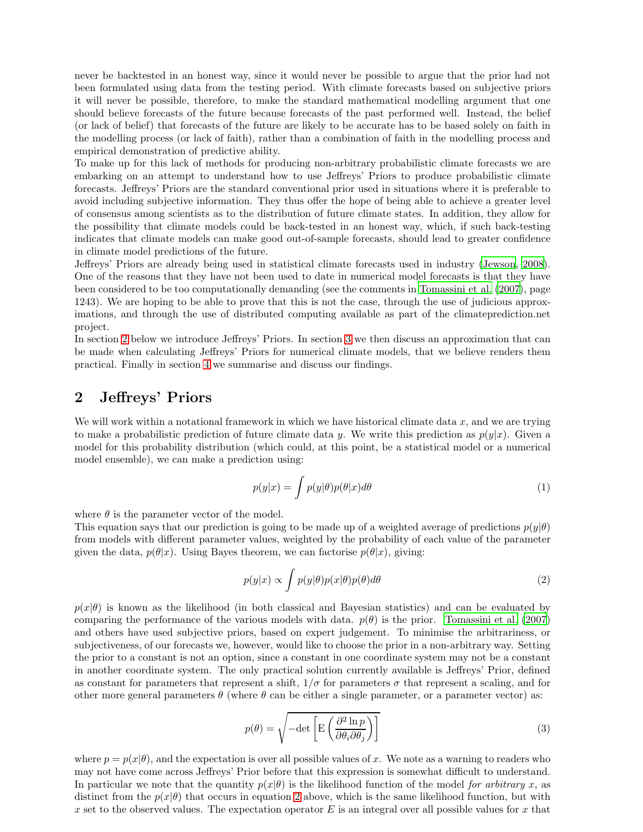never be backtested in an honest way, since it would never be possible to argue that the prior had not been formulated using data from the testing period. With climate forecasts based on subjective priors it will never be possible, therefore, to make the standard mathematical modelling argument that one should believe forecasts of the future because forecasts of the past performed well. Instead, the belief (or lack of belief) that forecasts of the future are likely to be accurate has to be based solely on faith in the modelling process (or lack of faith), rather than a combination of faith in the modelling process and empirical demonstration of predictive ability.

To make up for this lack of methods for producing non-arbitrary probabilistic climate forecasts we are embarking on an attempt to understand how to use Jeffreys' Priors to produce probabilistic climate forecasts. Jeffreys' Priors are the standard conventional prior used in situations where it is preferable to avoid including subjective information. They thus offer the hope of being able to achieve a greater level of consensus among scientists as to the distribution of future climate states. In addition, they allow for the possibility that climate models could be back-tested in an honest way, which, if such back-testing indicates that climate models can make good out-of-sample forecasts, should lead to greater confidence in climate model predictions of the future.

Jeffreys' Priors are already being used in statistical climate forecasts used in industry [\(Jewson](#page-10-2), [2008\)](#page-10-2). One of the reasons that they have not been used to date in numerical model forecasts is that they have been considered to be too computationally demanding (see the comments in [Tomassini et al. \(2007\)](#page-10-0), page 1243). We are hoping to be able to prove that this is not the case, through the use of judicious approximations, and through the use of distributed computing available as part of the climateprediction.net project.

In section [2](#page-1-0) below we introduce Jeffreys' Priors. In section [3](#page-2-0) we then discuss an approximation that can be made when calculating Jeffreys' Priors for numerical climate models, that we believe renders them practical. Finally in section [4](#page-5-0) we summarise and discuss our findings.

### <span id="page-1-0"></span>2 Jeffreys' Priors

We will work within a notational framework in which we have historical climate data  $x$ , and we are trying to make a probabilistic prediction of future climate data y. We write this prediction as  $p(y|x)$ . Given a model for this probability distribution (which could, at this point, be a statistical model or a numerical model ensemble), we can make a prediction using:

$$
p(y|x) = \int p(y|\theta)p(\theta|x)d\theta
$$
\n(1)

where  $\theta$  is the parameter vector of the model.

This equation says that our prediction is going to be made up of a weighted average of predictions  $p(y|\theta)$ from models with different parameter values, weighted by the probability of each value of the parameter given the data,  $p(\theta|x)$ . Using Bayes theorem, we can factorise  $p(\theta|x)$ , giving:

<span id="page-1-1"></span>
$$
p(y|x) \propto \int p(y|\theta)p(x|\theta)p(\theta)d\theta
$$
 (2)

 $p(x|\theta)$  is known as the likelihood (in both classical and Bayesian statistics) and can be evaluated by comparing the performance of the various models with data.  $p(\theta)$  is the prior. [Tomassini et al. \(2007\)](#page-10-0) and others have used subjective priors, based on expert judgement. To minimise the arbitrariness, or subjectiveness, of our forecasts we, however, would like to choose the prior in a non-arbitrary way. Setting the prior to a constant is not an option, since a constant in one coordinate system may not be a constant in another coordinate system. The only practical solution currently available is Jeffreys' Prior, defined as constant for parameters that represent a shift,  $1/\sigma$  for parameters  $\sigma$  that represent a scaling, and for other more general parameters  $\theta$  (where  $\theta$  can be either a single parameter, or a parameter vector) as:

$$
p(\theta) = \sqrt{-\det\left[E\left(\frac{\partial^2 \ln p}{\partial \theta_i \partial \theta_j}\right)\right]}
$$
 (3)

where  $p = p(x|\theta)$ , and the expectation is over all possible values of x. We note as a warning to readers who may not have come across Jeffreys' Prior before that this expression is somewhat difficult to understand. In particular we note that the quantity  $p(x|\theta)$  is the likelihood function of the model *for arbitrary* x, as distinct from the  $p(x|\theta)$  that occurs in equation [2](#page-1-1) above, which is the same likelihood function, but with x set to the observed values. The expectation operator  $E$  is an integral over all possible values for x that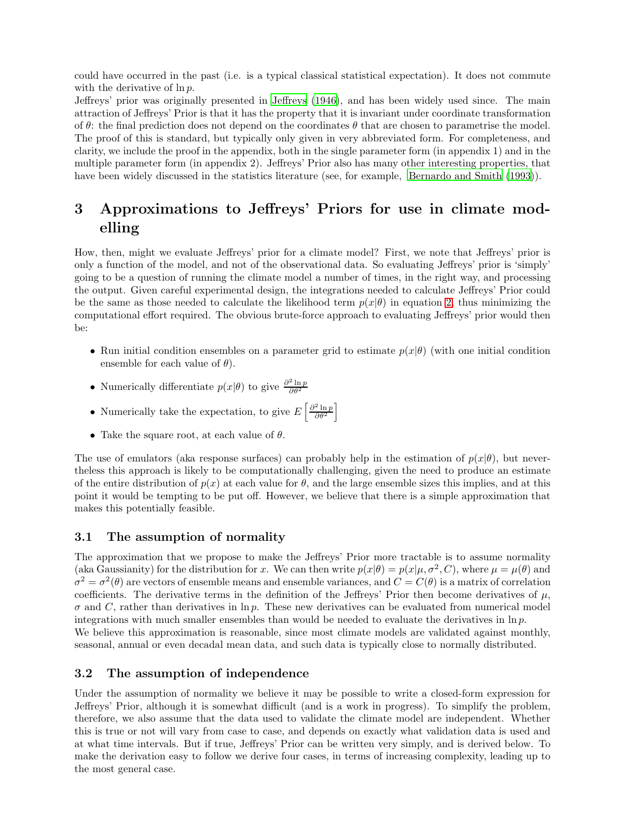could have occurred in the past (i.e. is a typical classical statistical expectation). It does not commute with the derivative of  $\ln p$ .

Jeffreys' prior was originally presented in [Jeffreys \(1946](#page-9-3)), and has been widely used since. The main attraction of Jeffreys' Prior is that it has the property that it is invariant under coordinate transformation of  $\theta$ : the final prediction does not depend on the coordinates  $\theta$  that are chosen to parametrise the model. The proof of this is standard, but typically only given in very abbreviated form. For completeness, and clarity, we include the proof in the appendix, both in the single parameter form (in appendix 1) and in the multiple parameter form (in appendix 2). Jeffreys' Prior also has many other interesting properties, that have been widely discussed in the statistics literature (see, for example, [Bernardo and Smith \(1993\)](#page-9-4)).

# <span id="page-2-0"></span>3 Approximations to Jeffreys' Priors for use in climate modelling

How, then, might we evaluate Jeffreys' prior for a climate model? First, we note that Jeffreys' prior is only a function of the model, and not of the observational data. So evaluating Jeffreys' prior is 'simply' going to be a question of running the climate model a number of times, in the right way, and processing the output. Given careful experimental design, the integrations needed to calculate Jeffreys' Prior could be the same as those needed to calculate the likelihood term  $p(x|\theta)$  in equation [2,](#page-1-1) thus minimizing the computational effort required. The obvious brute-force approach to evaluating Jeffreys' prior would then be:

- Run initial condition ensembles on a parameter grid to estimate  $p(x|\theta)$  (with one initial condition ensemble for each value of  $\theta$ ).
- Numerically differentiate  $p(x|\theta)$  to give  $\frac{\partial^2 \ln p}{\partial \theta^2}$
- Numerically take the expectation, to give  $E\left[\frac{\partial^2 \ln p}{\partial \theta^2}\right]$
- Take the square root, at each value of  $\theta$ .

The use of emulators (aka response surfaces) can probably help in the estimation of  $p(x|\theta)$ , but nevertheless this approach is likely to be computationally challenging, given the need to produce an estimate of the entire distribution of  $p(x)$  at each value for  $\theta$ , and the large ensemble sizes this implies, and at this point it would be tempting to be put off. However, we believe that there is a simple approximation that makes this potentially feasible.

#### 3.1 The assumption of normality

The approximation that we propose to make the Jeffreys' Prior more tractable is to assume normality (aka Gaussianity) for the distribution for x. We can then write  $p(x|\theta) = p(x|\mu, \sigma^2, C)$ , where  $\mu = \mu(\theta)$  and  $\sigma^2 = \sigma^2(\theta)$  are vectors of ensemble means and ensemble variances, and  $C = C(\theta)$  is a matrix of correlation coefficients. The derivative terms in the definition of the Jeffreys' Prior then become derivatives of  $\mu$ ,  $\sigma$  and C, rather than derivatives in ln p. These new derivatives can be evaluated from numerical model integrations with much smaller ensembles than would be needed to evaluate the derivatives in  $\ln p$ . We believe this approximation is reasonable, since most climate models are validated against monthly, seasonal, annual or even decadal mean data, and such data is typically close to normally distributed.

#### 3.2 The assumption of independence

Under the assumption of normality we believe it may be possible to write a closed-form expression for Jeffreys' Prior, although it is somewhat difficult (and is a work in progress). To simplify the problem, therefore, we also assume that the data used to validate the climate model are independent. Whether this is true or not will vary from case to case, and depends on exactly what validation data is used and at what time intervals. But if true, Jeffreys' Prior can be written very simply, and is derived below. To make the derivation easy to follow we derive four cases, in terms of increasing complexity, leading up to the most general case.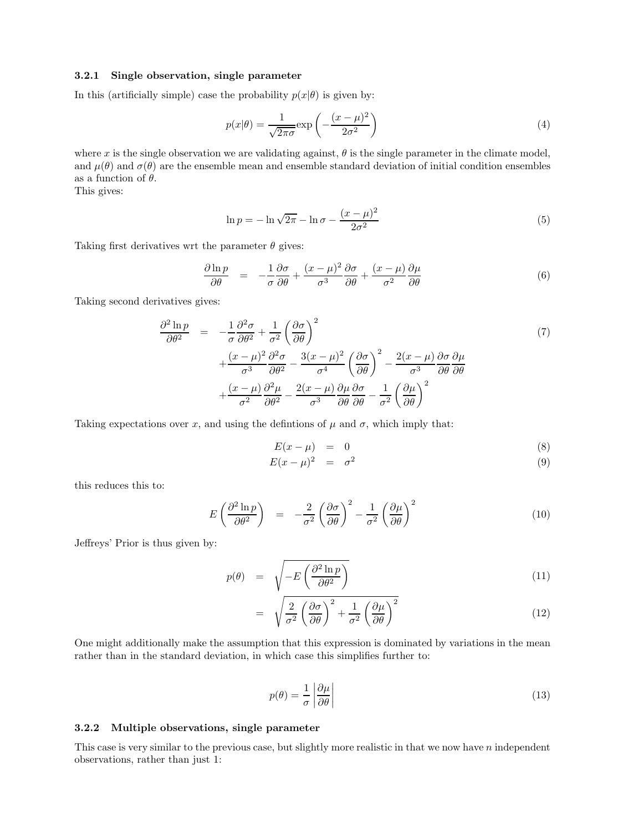#### 3.2.1 Single observation, single parameter

In this (artificially simple) case the probability  $p(x|\theta)$  is given by:

$$
p(x|\theta) = \frac{1}{\sqrt{2\pi\sigma}} \exp\left(-\frac{(x-\mu)^2}{2\sigma^2}\right)
$$
 (4)

where x is the single observation we are validating against,  $\theta$  is the single parameter in the climate model, and  $\mu(\theta)$  and  $\sigma(\theta)$  are the ensemble mean and ensemble standard deviation of initial condition ensembles as a function of  $\theta$ .

This gives:

$$
\ln p = -\ln\sqrt{2\pi} - \ln\sigma - \frac{(x-\mu)^2}{2\sigma^2} \tag{5}
$$

Taking first derivatives wrt the parameter  $\theta$  gives:

$$
\frac{\partial \ln p}{\partial \theta} = -\frac{1}{\sigma} \frac{\partial \sigma}{\partial \theta} + \frac{(x - \mu)^2}{\sigma^3} \frac{\partial \sigma}{\partial \theta} + \frac{(x - \mu)}{\sigma^2} \frac{\partial \mu}{\partial \theta} \tag{6}
$$

Taking second derivatives gives:

$$
\frac{\partial^2 \ln p}{\partial \theta^2} = -\frac{1}{\sigma} \frac{\partial^2 \sigma}{\partial \theta^2} + \frac{1}{\sigma^2} \left( \frac{\partial \sigma}{\partial \theta} \right)^2 \n+ \frac{(x - \mu)^2}{\sigma^3} \frac{\partial^2 \sigma}{\partial \theta^2} - \frac{3(x - \mu)^2}{\sigma^4} \left( \frac{\partial \sigma}{\partial \theta} \right)^2 - \frac{2(x - \mu)}{\sigma^3} \frac{\partial \sigma}{\partial \theta} \frac{\partial \mu}{\partial \theta} \n+ \frac{(x - \mu)}{\sigma^2} \frac{\partial^2 \mu}{\partial \theta^2} - \frac{2(x - \mu)}{\sigma^3} \frac{\partial \mu}{\partial \theta} \frac{\partial \sigma}{\partial \theta} - \frac{1}{\sigma^2} \left( \frac{\partial \mu}{\partial \theta} \right)^2
$$
\n(7)

Taking expectations over x, and using the defintions of  $\mu$  and  $\sigma$ , which imply that:

$$
E(x - \mu) = 0 \tag{8}
$$

$$
E(x - \mu)^2 = \sigma^2 \tag{9}
$$

this reduces this to:

$$
E\left(\frac{\partial^2 \ln p}{\partial \theta^2}\right) = -\frac{2}{\sigma^2} \left(\frac{\partial \sigma}{\partial \theta}\right)^2 - \frac{1}{\sigma^2} \left(\frac{\partial \mu}{\partial \theta}\right)^2 \tag{10}
$$

Jeffreys' Prior is thus given by:

$$
p(\theta) = \sqrt{-E\left(\frac{\partial^2 \ln p}{\partial \theta^2}\right)}
$$
(11)

$$
= \sqrt{\frac{2}{\sigma^2} \left(\frac{\partial \sigma}{\partial \theta}\right)^2 + \frac{1}{\sigma^2} \left(\frac{\partial \mu}{\partial \theta}\right)^2} \tag{12}
$$

One might additionally make the assumption that this expression is dominated by variations in the mean rather than in the standard deviation, in which case this simplifies further to:

$$
p(\theta) = \frac{1}{\sigma} \left| \frac{\partial \mu}{\partial \theta} \right| \tag{13}
$$

#### 3.2.2 Multiple observations, single parameter

This case is very similar to the previous case, but slightly more realistic in that we now have  $n$  independent observations, rather than just 1: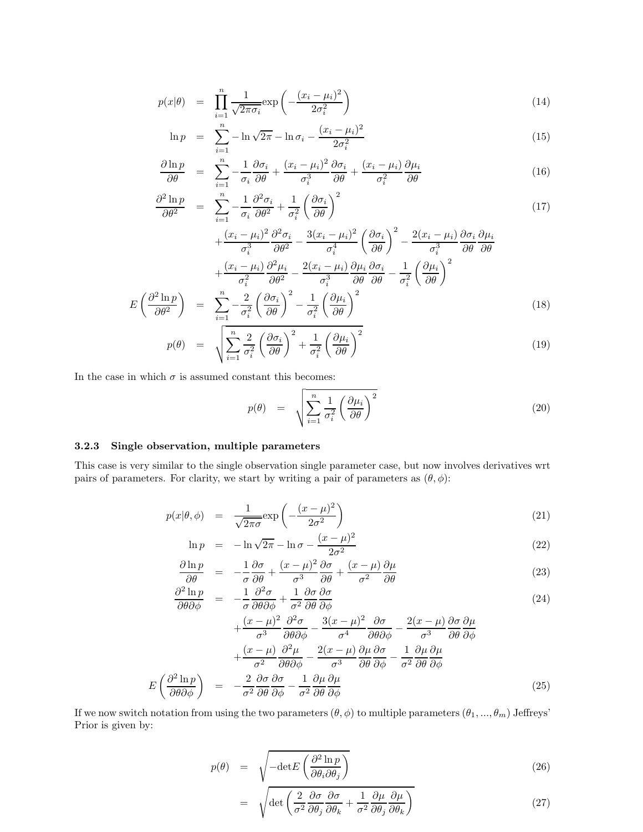$$
p(x|\theta) = \prod_{i=1}^{n} \frac{1}{\sqrt{2\pi\sigma_i}} \exp\left(-\frac{(x_i - \mu_i)^2}{2\sigma_i^2}\right)
$$
\n(14)

$$
\ln p = \sum_{i=1}^{n} -\ln \sqrt{2\pi} - \ln \sigma_i - \frac{(x_i - \mu_i)^2}{2\sigma_i^2}
$$
 (15)

$$
\frac{\partial \ln p}{\partial \theta} = \sum_{i=1}^{n} -\frac{1}{\sigma_i} \frac{\partial \sigma_i}{\partial \theta} + \frac{(x_i - \mu_i)^2}{\sigma_i^3} \frac{\partial \sigma_i}{\partial \theta} + \frac{(x_i - \mu_i)^2}{\sigma_i^2} \frac{\partial \mu_i}{\partial \theta} \tag{16}
$$

$$
\frac{\partial^2 \ln p}{\partial \theta^2} = \sum_{i=1}^n -\frac{1}{\sigma_i} \frac{\partial^2 \sigma_i}{\partial \theta^2} + \frac{1}{\sigma_i^2} \left( \frac{\partial \sigma_i}{\partial \theta} \right)^2 \tag{17}
$$

$$
+\frac{(x_i - \mu_i)^2}{\sigma_i^3} \frac{\partial^2 \sigma_i}{\partial \theta^2} - \frac{3(x_i - \mu_i)^2}{\sigma_i^4} \left(\frac{\partial \sigma_i}{\partial \theta}\right)^2 - \frac{2(x_i - \mu_i)}{\sigma_i^3} \frac{\partial \sigma_i}{\partial \theta} \frac{\partial \mu_i}{\partial \theta}
$$

$$
+\frac{(x_i - \mu_i)}{\sigma_i^2} \frac{\partial^2 \mu_i}{\partial \theta^2} - \frac{2(x_i - \mu_i)}{\sigma_i^3} \frac{\partial \mu_i}{\partial \theta} \frac{\partial \sigma_i}{\partial \theta} - \frac{1}{\sigma_i^2} \left(\frac{\partial \mu_i}{\partial \theta}\right)^2
$$

$$
E\left(\frac{\partial^2 \ln p}{\partial \theta^2}\right) = \sum_{i=1}^n -\frac{2}{\sigma_i^2} \left(\frac{\partial \sigma_i}{\partial \theta}\right)^2 - \frac{1}{\sigma_i^2} \left(\frac{\partial \mu_i}{\partial \theta}\right)^2
$$
\n(18)

$$
p(\theta) = \sqrt{\sum_{i=1}^{n} \frac{2}{\sigma_i^2} \left(\frac{\partial \sigma_i}{\partial \theta}\right)^2 + \frac{1}{\sigma_i^2} \left(\frac{\partial \mu_i}{\partial \theta}\right)^2}
$$
(19)

In the case in which  $\sigma$  is assumed constant this becomes:

$$
p(\theta) = \sqrt{\sum_{i=1}^{n} \frac{1}{\sigma_i^2} \left(\frac{\partial \mu_i}{\partial \theta}\right)^2}
$$
 (20)

#### 3.2.3 Single observation, multiple parameters

This case is very similar to the single observation single parameter case, but now involves derivatives wrt pairs of parameters. For clarity, we start by writing a pair of parameters as  $(\theta, \phi)$ :

$$
p(x|\theta,\phi) = \frac{1}{\sqrt{2\pi\sigma}} \exp\left(-\frac{(x-\mu)^2}{2\sigma^2}\right)
$$
\n(21)

$$
\ln p = -\ln \sqrt{2\pi} - \ln \sigma - \frac{(x - \mu)^2}{2\sigma^2}
$$
 (22)

$$
\frac{\partial \ln p}{\partial \theta} = -\frac{1}{\sigma} \frac{\partial \sigma}{\partial \theta} + \frac{(x - \mu)^2}{\sigma^3} \frac{\partial \sigma}{\partial \theta} + \frac{(x - \mu)}{\sigma^2} \frac{\partial \mu}{\partial \theta} \tag{23}
$$

$$
\frac{\partial^2 \ln p}{\partial \theta \partial \phi} = -\frac{1}{\sigma} \frac{\partial^2 \sigma}{\partial \theta \partial \phi} + \frac{1}{\sigma^2} \frac{\partial \sigma}{\partial \theta} \frac{\partial \sigma}{\partial \phi}
$$
(24)

$$
+\frac{(x-\mu)^2}{\sigma^3} \frac{\partial^2 \sigma}{\partial \theta \partial \phi} - \frac{3(x-\mu)^2}{\sigma^4} \frac{\partial \sigma}{\partial \theta \partial \phi} - \frac{2(x-\mu)}{\sigma^3} \frac{\partial \sigma}{\partial \theta} \frac{\partial \mu}{\partial \phi} + \frac{(x-\mu)}{\sigma^2} \frac{\partial^2 \mu}{\partial \theta \partial \phi} - \frac{2(x-\mu)}{\sigma^3} \frac{\partial \mu}{\partial \theta} \frac{\partial \sigma}{\partial \phi} - \frac{1}{\sigma^2} \frac{\partial \mu}{\partial \theta} \frac{\partial \mu}{\partial \phi} E\left(\frac{\partial^2 \ln p}{\partial \theta \partial \phi}\right) = -\frac{2}{\sigma^2} \frac{\partial \sigma}{\partial \theta} \frac{\partial \sigma}{\partial \phi} - \frac{1}{\sigma^2} \frac{\partial \mu}{\partial \theta} \frac{\partial \mu}{\partial \phi}
$$
(25)

If we now switch notation from using the two parameters  $(\theta, \phi)$  to multiple parameters  $(\theta_1, ..., \theta_m)$  Jeffreys' Prior is given by:

$$
p(\theta) = \sqrt{-\det E \left( \frac{\partial^2 \ln p}{\partial \theta_i \partial \theta_j} \right)}
$$
(26)

$$
= \sqrt{\det\left(\frac{2}{\sigma^2}\frac{\partial\sigma}{\partial\theta_j}\frac{\partial\sigma}{\partial\theta_k} + \frac{1}{\sigma^2}\frac{\partial\mu}{\partial\theta_j}\frac{\partial\mu}{\partial\theta_k}\right)}
$$
(27)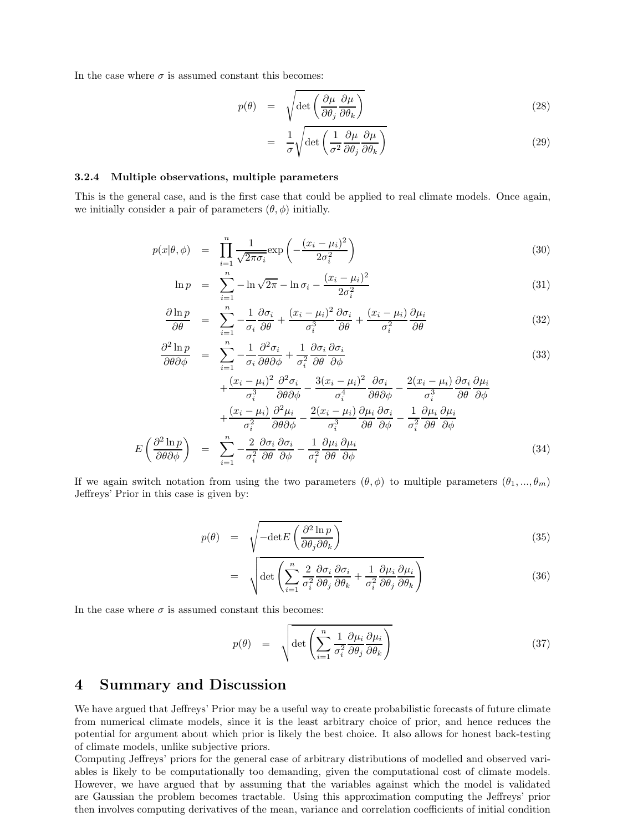In the case where  $\sigma$  is assumed constant this becomes:

$$
p(\theta) = \sqrt{\det\left(\frac{\partial \mu}{\partial \theta_j} \frac{\partial \mu}{\partial \theta_k}\right)}
$$
(28)

$$
= \frac{1}{\sigma} \sqrt{\det \left( \frac{1}{\sigma^2} \frac{\partial \mu}{\partial \theta_j} \frac{\partial \mu}{\partial \theta_k} \right)}
$$
(29)

#### 3.2.4 Multiple observations, multiple parameters

This is the general case, and is the first case that could be applied to real climate models. Once again, we initially consider a pair of parameters  $(\theta, \phi)$  initially.

$$
p(x|\theta,\phi) = \prod_{i=1}^{n} \frac{1}{\sqrt{2\pi\sigma_i}} \exp\left(-\frac{(x_i - \mu_i)^2}{2\sigma_i^2}\right)
$$
\n(30)

$$
\ln p = \sum_{i=1}^{n} -\ln \sqrt{2\pi} - \ln \sigma_i - \frac{(x_i - \mu_i)^2}{2\sigma_i^2}
$$
\n(31)

$$
\frac{\partial \ln p}{\partial \theta} = \sum_{i=1}^{n} -\frac{1}{\sigma_i} \frac{\partial \sigma_i}{\partial \theta} + \frac{(x_i - \mu_i)^2}{\sigma_i^3} \frac{\partial \sigma_i}{\partial \theta} + \frac{(x_i - \mu_i)^2}{\sigma_i^2} \frac{\partial \mu_i}{\partial \theta} \tag{32}
$$

$$
\frac{\partial^2 \ln p}{\partial \theta \partial \phi} = \sum_{i=1}^n -\frac{1}{\sigma_i} \frac{\partial^2 \sigma_i}{\partial \theta \partial \phi} + \frac{1}{\sigma_i^2} \frac{\partial \sigma_i}{\partial \theta} \frac{\partial \sigma_i}{\partial \phi}
$$
\n
$$
(33)
$$
\n
$$
(x_i - \mu_i)^2 \partial^2 \sigma_i \qquad 3(x_i - \mu_i)^2 \partial \sigma_i \qquad 2(x_i - \mu_i) \partial \sigma_i \partial \mu_i
$$

$$
+\frac{(x_i - \mu_i)^2}{\sigma_i^3} \frac{\partial^2 \sigma_i}{\partial \theta \partial \phi} - \frac{3(x_i - \mu_i)^2}{\sigma_i^4} \frac{\partial \sigma_i}{\partial \theta \partial \phi} - \frac{2(x_i - \mu_i)}{\sigma_i^3} \frac{\partial \sigma_i}{\partial \theta} \frac{\partial \mu_i}{\partial \phi} + \frac{(x_i - \mu_i)}{\sigma_i^2} \frac{\partial^2 \mu_i}{\partial \theta \partial \phi} - \frac{2(x_i - \mu_i)}{\sigma_i^3} \frac{\partial \mu_i}{\partial \theta} \frac{\partial \sigma_i}{\partial \phi} - \frac{1}{\sigma_i^2} \frac{\partial \mu_i}{\partial \theta} \frac{\partial \mu_i}{\partial \phi} - \frac{1}{\sigma_i^2} \frac{\partial \mu_i}{\partial \theta} \frac{\partial \mu_i}{\partial \phi} - \frac{1}{\sigma_i^2} \frac{\partial \mu_i}{\partial \theta} \frac{\partial \mu_i}{\partial \phi} \tag{34}
$$

If we again switch notation from using the two parameters  $(\theta, \phi)$  to multiple parameters  $(\theta_1, ..., \theta_m)$ Jeffreys' Prior in this case is given by:

$$
p(\theta) = \sqrt{-\det E \left( \frac{\partial^2 \ln p}{\partial \theta_j \partial \theta_k} \right)}
$$
(35)

$$
= \sqrt{\det\left(\sum_{i=1}^{n}\frac{2}{\sigma_i^2}\frac{\partial \sigma_i}{\partial \theta_j}\frac{\partial \sigma_i}{\partial \theta_k} + \frac{1}{\sigma_i^2}\frac{\partial \mu_i}{\partial \theta_j}\frac{\partial \mu_i}{\partial \theta_k}\right)}
$$
(36)

In the case where  $\sigma$  is assumed constant this becomes:

<span id="page-5-1"></span>
$$
p(\theta) = \sqrt{\det \left( \sum_{i=1}^{n} \frac{1}{\sigma_i^2} \frac{\partial \mu_i}{\partial \theta_j} \frac{\partial \mu_i}{\partial \theta_k} \right)}
$$
(37)

## <span id="page-5-0"></span>4 Summary and Discussion

We have argued that Jeffreys' Prior may be a useful way to create probabilistic forecasts of future climate from numerical climate models, since it is the least arbitrary choice of prior, and hence reduces the potential for argument about which prior is likely the best choice. It also allows for honest back-testing of climate models, unlike subjective priors.

Computing Jeffreys' priors for the general case of arbitrary distributions of modelled and observed variables is likely to be computationally too demanding, given the computational cost of climate models. However, we have argued that by assuming that the variables against which the model is validated are Gaussian the problem becomes tractable. Using this approximation computing the Jeffreys' prior then involves computing derivatives of the mean, variance and correlation coefficients of initial condition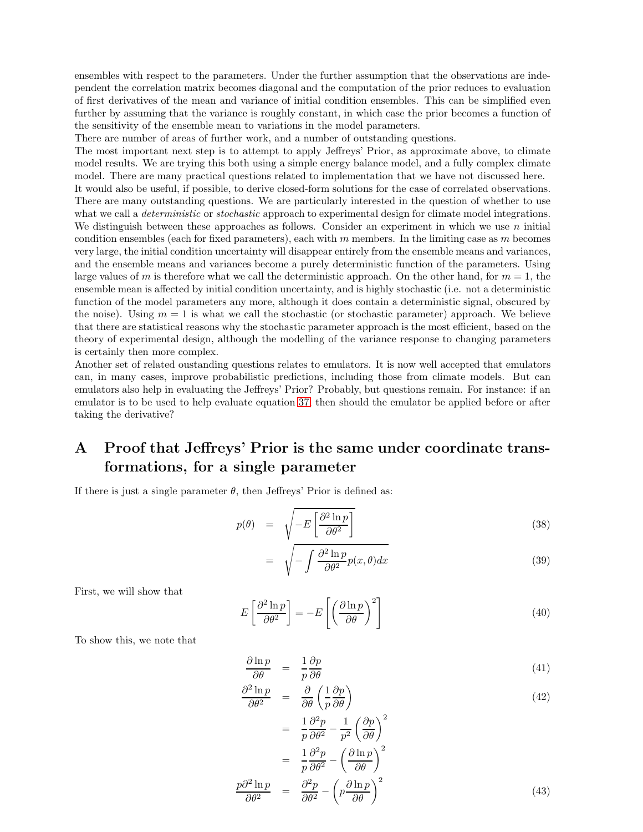ensembles with respect to the parameters. Under the further assumption that the observations are independent the correlation matrix becomes diagonal and the computation of the prior reduces to evaluation of first derivatives of the mean and variance of initial condition ensembles. This can be simplified even further by assuming that the variance is roughly constant, in which case the prior becomes a function of the sensitivity of the ensemble mean to variations in the model parameters.

There are number of areas of further work, and a number of outstanding questions.

The most important next step is to attempt to apply Jeffreys' Prior, as approximate above, to climate model results. We are trying this both using a simple energy balance model, and a fully complex climate model. There are many practical questions related to implementation that we have not discussed here.

It would also be useful, if possible, to derive closed-form solutions for the case of correlated observations. There are many outstanding questions. We are particularly interested in the question of whether to use what we call a *deterministic* or *stochastic* approach to experimental design for climate model integrations. We distinguish between these approaches as follows. Consider an experiment in which we use  $n$  initial condition ensembles (each for fixed parameters), each with  $m$  members. In the limiting case as  $m$  becomes very large, the initial condition uncertainty will disappear entirely from the ensemble means and variances, and the ensemble means and variances become a purely deterministic function of the parameters. Using large values of m is therefore what we call the deterministic approach. On the other hand, for  $m = 1$ , the ensemble mean is affected by initial condition uncertainty, and is highly stochastic (i.e. not a deterministic function of the model parameters any more, although it does contain a deterministic signal, obscured by the noise). Using  $m = 1$  is what we call the stochastic (or stochastic parameter) approach. We believe that there are statistical reasons why the stochastic parameter approach is the most efficient, based on the theory of experimental design, although the modelling of the variance response to changing parameters is certainly then more complex.

Another set of related oustanding questions relates to emulators. It is now well accepted that emulators can, in many cases, improve probabilistic predictions, including those from climate models. But can emulators also help in evaluating the Jeffreys' Prior? Probably, but questions remain. For instance: if an emulator is to be used to help evaluate equation [37,](#page-5-1) then should the emulator be applied before or after taking the derivative?

# A Proof that Jeffreys' Prior is the same under coordinate transformations, for a single parameter

If there is just a single parameter  $\theta$ , then Jeffreys' Prior is defined as:

$$
p(\theta) = \sqrt{-E \left[ \frac{\partial^2 \ln p}{\partial \theta^2} \right]}
$$
 (38)

$$
= \sqrt{-\int \frac{\partial^2 \ln p}{\partial \theta^2} p(x,\theta) dx}
$$
\n(39)

First, we will show that

$$
E\left[\frac{\partial^2 \ln p}{\partial \theta^2}\right] = -E\left[\left(\frac{\partial \ln p}{\partial \theta}\right)^2\right]
$$
\n(40)

To show this, we note that

$$
\frac{\partial \ln p}{\partial \theta} = \frac{1}{p} \frac{\partial p}{\partial \theta} \tag{41}
$$

$$
\frac{\partial^2 \ln p}{\partial \theta^2} = \frac{\partial}{\partial \theta} \left( \frac{1}{p} \frac{\partial p}{\partial \theta} \right)
$$
(42)

$$
= \frac{1}{p} \frac{\partial^2 p}{\partial \theta^2} - \frac{1}{p^2} \left(\frac{\partial p}{\partial \theta}\right)^2
$$

$$
= \frac{1}{p} \frac{\partial^2 p}{\partial \theta^2} - \left(\frac{\partial \ln p}{\partial \theta}\right)^2
$$

$$
\frac{p \partial^2 \ln p}{\partial \theta^2} = \frac{\partial^2 p}{\partial \theta^2} - \left(p \frac{\partial \ln p}{\partial \theta}\right)^2
$$
(43)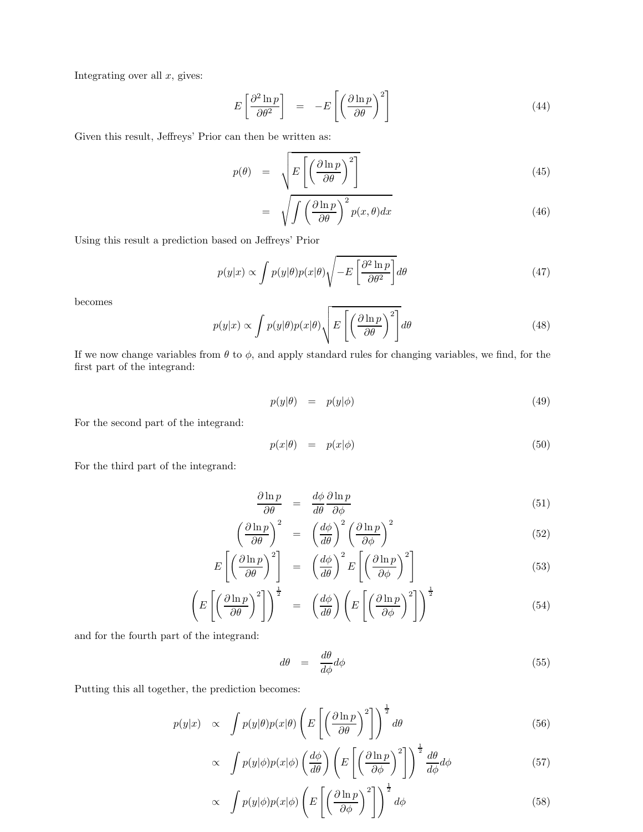Integrating over all  $x$ , gives:

$$
E\left[\frac{\partial^2 \ln p}{\partial \theta^2}\right] = -E\left[\left(\frac{\partial \ln p}{\partial \theta}\right)^2\right]
$$
\n(44)

Given this result, Jeffreys' Prior can then be written as:

$$
p(\theta) = \sqrt{E\left[\left(\frac{\partial \ln p}{\partial \theta}\right)^2\right]}
$$
 (45)

$$
= \sqrt{\int \left(\frac{\partial \ln p}{\partial \theta}\right)^2 p(x,\theta) dx} \tag{46}
$$

Using this result a prediction based on Jeffreys' Prior

$$
p(y|x) \propto \int p(y|\theta)p(x|\theta)\sqrt{-E\left[\frac{\partial^2 \ln p}{\partial \theta^2}\right]}d\theta\tag{47}
$$

becomes

$$
p(y|x) \propto \int p(y|\theta)p(x|\theta) \sqrt{E\left[\left(\frac{\partial \ln p}{\partial \theta}\right)^2\right]} d\theta \tag{48}
$$

If we now change variables from  $\theta$  to  $\phi$ , and apply standard rules for changing variables, we find, for the first part of the integrand:

$$
p(y|\theta) = p(y|\phi) \tag{49}
$$

For the second part of the integrand:

$$
p(x|\theta) = p(x|\phi) \tag{50}
$$

For the third part of the integrand:

$$
\frac{\partial \ln p}{\partial \theta} = \frac{d\phi}{d\theta} \frac{\partial \ln p}{\partial \phi} \tag{51}
$$

$$
\left(\frac{\partial \ln p}{\partial \theta}\right)^2 = \left(\frac{d\phi}{d\theta}\right)^2 \left(\frac{\partial \ln p}{\partial \phi}\right)^2 \tag{52}
$$

$$
E\left[\left(\frac{\partial \ln p}{\partial \theta}\right)^2\right] = \left(\frac{d\phi}{d\theta}\right)^2 E\left[\left(\frac{\partial \ln p}{\partial \phi}\right)^2\right]
$$
\n(53)

$$
\left(E\left[\left(\frac{\partial \ln p}{\partial \theta}\right)^2\right]\right)^{\frac{1}{2}} = \left(\frac{d\phi}{d\theta}\right)\left(E\left[\left(\frac{\partial \ln p}{\partial \phi}\right)^2\right]\right)^{\frac{1}{2}}
$$
(54)

and for the fourth part of the integrand:

$$
d\theta = \frac{d\theta}{d\phi}d\phi \tag{55}
$$

Putting this all together, the prediction becomes:

$$
p(y|x) \propto \int p(y|\theta)p(x|\theta) \left( E\left[ \left(\frac{\partial \ln p}{\partial \theta}\right)^2 \right] \right)^{\frac{1}{2}} d\theta \qquad (56)
$$

$$
\propto \int p(y|\phi)p(x|\phi) \left(\frac{d\phi}{d\theta}\right) \left(E\left[\left(\frac{\partial \ln p}{\partial \phi}\right)^2\right]\right)^{\frac{1}{2}} \frac{d\theta}{d\phi} d\phi \tag{57}
$$

$$
\propto \int p(y|\phi)p(x|\phi) \left( E\left[ \left( \frac{\partial \ln p}{\partial \phi} \right)^2 \right] \right)^{\frac{1}{2}} d\phi \tag{58}
$$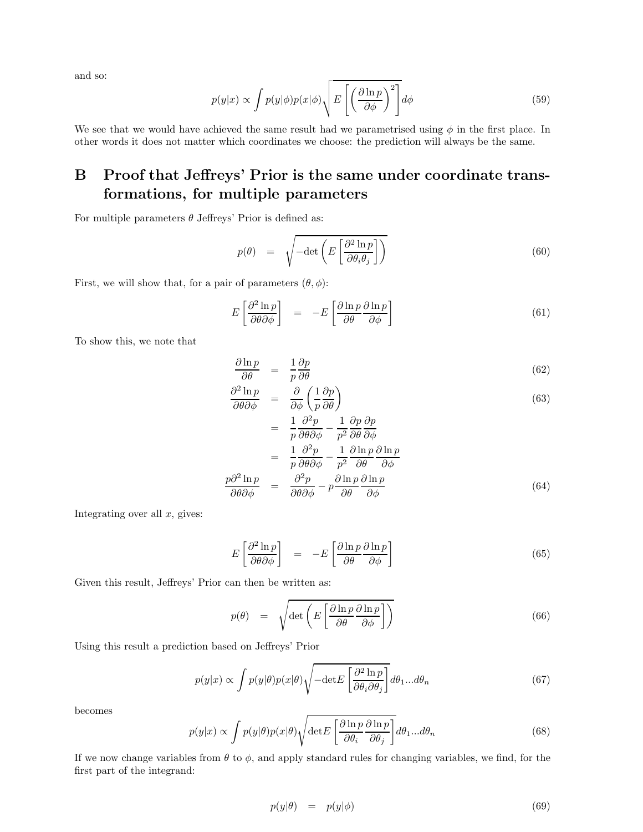and so:

$$
p(y|x) \propto \int p(y|\phi)p(x|\phi) \sqrt{E\left[\left(\frac{\partial \ln p}{\partial \phi}\right)^2\right]} d\phi \tag{59}
$$

We see that we would have achieved the same result had we parametrised using  $\phi$  in the first place. In other words it does not matter which coordinates we choose: the prediction will always be the same.

# B Proof that Jeffreys' Prior is the same under coordinate transformations, for multiple parameters

For multiple parameters  $\theta$  Jeffreys' Prior is defined as:

$$
p(\theta) = \sqrt{-\det\left(E\left[\frac{\partial^2 \ln p}{\partial \theta_i \theta_j}\right]\right)}
$$
(60)

First, we will show that, for a pair of parameters  $(\theta, \phi)$ :

$$
E\left[\frac{\partial^2 \ln p}{\partial \theta \partial \phi}\right] = -E\left[\frac{\partial \ln p}{\partial \theta} \frac{\partial \ln p}{\partial \phi}\right]
$$
(61)

To show this, we note that

$$
\frac{\partial \ln p}{\partial \theta} = \frac{1}{p} \frac{\partial p}{\partial \theta} \tag{62}
$$

$$
\frac{\partial^2 \ln p}{\partial \theta \partial \phi} = \frac{\partial}{\partial \phi} \left( \frac{1}{p} \frac{\partial p}{\partial \theta} \right) \tag{63}
$$

$$
= \frac{1}{p} \frac{\partial^2 p}{\partial \theta \partial \phi} - \frac{1}{p^2} \frac{\partial p}{\partial \theta} \frac{\partial p}{\partial \phi}
$$
  

$$
= \frac{1}{p} \frac{\partial^2 p}{\partial \theta \partial \phi} - \frac{1}{p^2} \frac{\partial \ln p}{\partial \theta} \frac{\partial \ln p}{\partial \phi}
$$
  

$$
\frac{p \partial^2 \ln p}{\partial \theta \partial \phi} = \frac{\partial^2 p}{\partial \theta \partial \phi} - p \frac{\partial \ln p}{\partial \theta} \frac{\partial \ln p}{\partial \phi}
$$
(64)

Integrating over all  $x$ , gives:

$$
E\left[\frac{\partial^2 \ln p}{\partial \theta \partial \phi}\right] = -E\left[\frac{\partial \ln p}{\partial \theta} \frac{\partial \ln p}{\partial \phi}\right]
$$
(65)

Given this result, Jeffreys' Prior can then be written as:

$$
p(\theta) = \sqrt{\det \left( E \left[ \frac{\partial \ln p}{\partial \theta} \frac{\partial \ln p}{\partial \phi} \right] \right)}
$$
(66)

Using this result a prediction based on Jeffreys' Prior

$$
p(y|x) \propto \int p(y|\theta)p(x|\theta)\sqrt{-\det E\left[\frac{\partial^2 \ln p}{\partial \theta_i \partial \theta_j}\right]}d\theta_1...d\theta_n \tag{67}
$$

becomes

$$
p(y|x) \propto \int p(y|\theta)p(x|\theta) \sqrt{\det E\left[\frac{\partial \ln p}{\partial \theta_i} \frac{\partial \ln p}{\partial \theta_j}\right]} d\theta_1 ... d\theta_n \tag{68}
$$

If we now change variables from  $\theta$  to  $\phi$ , and apply standard rules for changing variables, we find, for the first part of the integrand:

$$
p(y|\theta) = p(y|\phi) \tag{69}
$$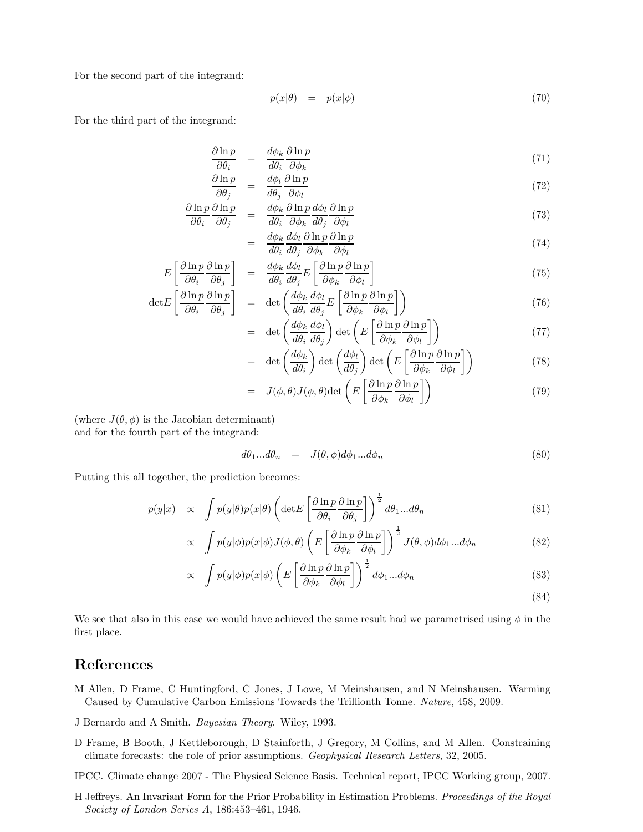For the second part of the integrand:

$$
p(x|\theta) = p(x|\phi) \tag{70}
$$

For the third part of the integrand:

$$
\frac{\partial \ln p}{\partial \theta_i} = \frac{d\phi_k}{d\theta_i} \frac{\partial \ln p}{\partial \phi_k} \tag{71}
$$

$$
\frac{\partial \ln p}{\partial \theta_j} = \frac{d\phi_l}{d\theta_j} \frac{\partial \ln p}{\partial \phi_l} \tag{72}
$$

$$
\frac{\partial \ln p}{\partial \theta_i} \frac{\partial \ln p}{\partial \theta_j} = \frac{d\phi_k}{d\theta_i} \frac{\partial \ln p}{\partial \phi_k} \frac{d\phi_l}{d\theta_j} \frac{\partial \ln p}{\partial \phi_l} \tag{73}
$$

$$
= \frac{d\phi_k}{d\theta_i} \frac{d\phi_l}{d\theta_j} \frac{\partial \ln p}{\partial \phi_k} \frac{\partial \ln p}{\partial \phi_l} \tag{74}
$$

$$
E\left[\frac{\partial \ln p}{\partial \theta_i} \frac{\partial \ln p}{\partial \theta_j}\right] = \frac{d\phi_k}{d\theta_i} \frac{d\phi_l}{d\theta_j} E\left[\frac{\partial \ln p}{\partial \phi_k} \frac{\partial \ln p}{\partial \phi_l}\right]
$$
(75)

$$
\det E\left[\frac{\partial \ln p}{\partial \theta_i} \frac{\partial \ln p}{\partial \theta_j}\right] = \det \left(\frac{d\phi_k}{d\theta_i} \frac{d\phi_l}{d\theta_j} E\left[\frac{\partial \ln p}{\partial \phi_k} \frac{\partial \ln p}{\partial \phi_l}\right]\right) \tag{76}
$$

$$
= \det \left( \frac{d\phi_k}{d\theta_i} \frac{d\phi_l}{d\theta_j} \right) \det \left( E \left[ \frac{\partial \ln p}{\partial \phi_k} \frac{\partial \ln p}{\partial \phi_l} \right] \right) \tag{77}
$$

$$
= \det \left( \frac{d\phi_k}{d\theta_i} \right) \det \left( \frac{d\phi_l}{d\theta_j} \right) \det \left( E \left[ \frac{\partial \ln p}{\partial \phi_k} \frac{\partial \ln p}{\partial \phi_l} \right] \right) \tag{78}
$$

$$
= J(\phi, \theta)J(\phi, \theta)\det\left(E\left[\frac{\partial \ln p}{\partial \phi_k} \frac{\partial \ln p}{\partial \phi_l}\right]\right) \tag{79}
$$

(where  $J(\theta, \phi)$  is the Jacobian determinant) and for the fourth part of the integrand:

$$
d\theta_1...d\theta_n = J(\theta, \phi)d\phi_1...d\phi_n \tag{80}
$$

Putting this all together, the prediction becomes:

$$
p(y|x) \propto \int p(y|\theta)p(x|\theta) \left(\det E\left[\frac{\partial \ln p}{\partial \theta_i} \frac{\partial \ln p}{\partial \theta_j}\right]\right)^{\frac{1}{2}} d\theta_1 ... d\theta_n \tag{81}
$$

$$
\propto \int p(y|\phi)p(x|\phi)J(\phi,\theta) \left( E\left[\frac{\partial \ln p}{\partial \phi_k} \frac{\partial \ln p}{\partial \phi_l}\right] \right)^{\frac{1}{2}} J(\theta,\phi)d\phi_1...d\phi_n \tag{82}
$$

$$
\propto \int p(y|\phi)p(x|\phi) \left( E \left[ \frac{\partial \ln p}{\partial \phi_k} \frac{\partial \ln p}{\partial \phi_l} \right] \right)^{\frac{1}{2}} d\phi_1 ... d\phi_n \tag{83}
$$

(84)

We see that also in this case we would have achieved the same result had we parametrised using  $\phi$  in the first place.

### References

- <span id="page-9-2"></span>M Allen, D Frame, C Huntingford, C Jones, J Lowe, M Meinshausen, and N Meinshausen. Warming Caused by Cumulative Carbon Emissions Towards the Trillionth Tonne. *Nature*, 458, 2009.
- <span id="page-9-4"></span>J Bernardo and A Smith. *Bayesian Theory*. Wiley, 1993.
- <span id="page-9-1"></span>D Frame, B Booth, J Kettleborough, D Stainforth, J Gregory, M Collins, and M Allen. Constraining climate forecasts: the role of prior assumptions. *Geophysical Research Letters*, 32, 2005.
- <span id="page-9-0"></span>IPCC. Climate change 2007 - The Physical Science Basis. Technical report, IPCC Working group, 2007.
- <span id="page-9-3"></span>H Jeffreys. An Invariant Form for the Prior Probability in Estimation Problems. *Proceedings of the Royal Society of London Series A*, 186:453–461, 1946.